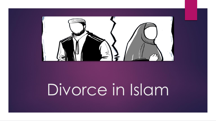

## Divorce in Islam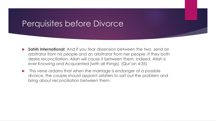#### Perquisites before Divorce

- **Sahih International**: And if you fear dissension between the two, send an arbitrator from his people and an arbitrator from her people. If they both desire reconciliation, Allah will cause it between them. Indeed, Allah is ever Knowing and Acquainted [with all things]. (Qur'an 4:35)
- **This verse ordains that when the marriage is endanger of a possible** divorce, the couple should appoint arbiters to sort out the problem and bring about reconciliation between them.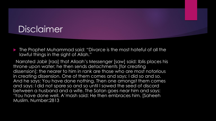### Disclaimer

 The Prophet Muhammad said: "Divorce is the most hateful of all the lawful things in the sight of Allah."

Narrated Jabir [raa] that Allaah's Messenger [saw] said: Iblis places his throne upon water; he then sends detachments [for creating dissension]; the nearer to him in rank are those who are most notorious in creating dissension. One of them comes and says: I did so and so. And he says: You have done nothing. Then one amongst them comes and says: I did not spare so and so until I sowed the seed of discord between a husband and a wife. The Satan goes near him and says: 'You have done well. A'mash said: He then embraces him. [Saheeh Muslim. Number:2813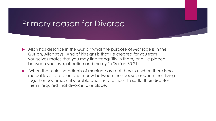#### Primary reason for Divorce

- Allah has describe in the Qur'an what the purpose of Marriage is in the Qur'an, Allah says "And of his signs is that He created for you from yourselves mates that you may find tranquility in them, and He placed between you love, affection and mercy." (Qur'an 30:21).
- When the main ingredients of marriage are not there, as when there is no mutual love, affection and mercy between the spouses or when their living together becomes unbearable and it is to difficult to settle their disputes, then it required that divorce take place.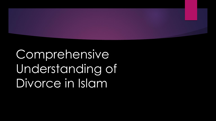

**Comprehensive** Understanding of Divorce in Islam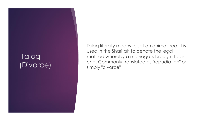#### **Talaq** (Divorce)

Talaq literally means to set an animal free. It is used in the Shari'ah to denote the legal method whereby a marriage is brought to an end. Commonly translated as "repudiation" or simply "divorce"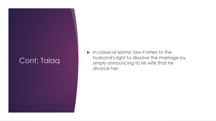#### Cont; Talaq

 In classical Islamic law it refers to the husband's right to dissolve the marriage by simply announcing to his wife that he divorce her.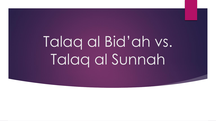# Talaq al Bid'ah vs. Talaq al Sunnah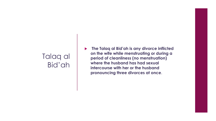#### Talaq al Bid'ah

 **The Talaq al Bid'ah is any divorce inflicted on the wife while menstruating or during a period of cleanliness (no menstruation) where the husband has had sexual intercourse with her or the husband pronouncing three divorces at once**.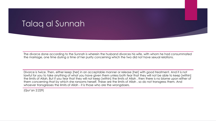#### Talaq al Sunnah

The divorce done according to the Sunnah is wherein the husband divorces his wife, with whom he had consummated the marriage, one time during a time of her purity concerning which the two did not have sexual relations.

Divorce is twice. Then, either keep [her] in an acceptable manner or release [her] with good treatment. And it is not lawful for you to take anything of what you have given them unless both fear that they will not be able to keep [within] the limits of Allah. But if you fear that they will not keep [within] the limits of Allah , then there is no blame upon either of them concerning that by which she ransoms herself. These are the limits of Allah , so do not transgress them. And whoever transgresses the limits of Allah - it is those who are the wrongdoers.

(Qur'an 2:229)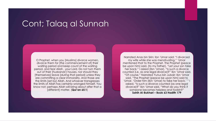#### Cont; Talaq al Sunnah

O Prophet, when you [Muslims] divorce women, divorce them for [the commencement of] their waiting period and keep count of the waiting period, and fear Allah , your Lord. Do not turn them out of their [husbands'] houses, nor should they [themselves] leave [during that period] unless they are committing a clear immorality. And those are the limits [set by] Allah. And whoever transgresses the limits of Allah has certainly wronged himself. You know not; perhaps Allah will bring about after that a [different] matter. (**Qur'an 65:1**)

Narrated Anas bin Sirin: Ibn 'Umar said: "I divorced my wife while she was menstruating." 'Umar mentioned that to the Prophet. The Prophet (peace be upon him) said, (to my father), "Let your son take her back." I asked (Ibn 'Umar), "Is such a divorce counted (i.e. as one legal divorce)?" Ibn 'Umar said, "Of course." Narrated Yunus bin Jubair: Ibn 'Umar said, "The Prophet (peace be upon him) said to 'Umar, 'Order him (Ibn 'Umar) to take her back.' " I asked, "Is such a divorce counted (as one legal divorce)?" Ibn 'Umar said, "What do you think if someone becomes helpless and foolish?" **Sahih Al-Bukhari – Book 63 Hadith 179**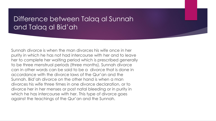#### Difference between Talaq al Sunnah and Talaq al Bid'ah

Sunnah divorce is when the man divorces his wife once in her purity in which he has not had intercourse with her and to leave her to complete her waiting period which is prescribed generally to be three menstrual periods (three months). Sunnah divorce can in other words can be said to be a divorce that is done in accordance with the divorce laws of the Qur'an and the Sunnah. Bid'ah divorce on the other hand is when a man divorces his wife three times in one divorce declaration, or to divorce her in her menses or post natal bleeding or in purity in which he has intercourse with her. This type of divorce goes against the teachings of the Qur'an and the Sunnah.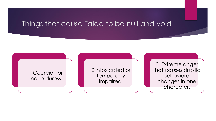#### Things that cause Talaq to be null and void

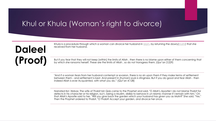#### Khul or Khula (Woman's right to divorce)

### **Daleel (Proof)**

Khula is a procedure through which a woman can divorce her husband in [Islam,](https://en.wikipedia.org/wiki/Islam) by returning the dowry(*[mahr](https://en.wikipedia.org/wiki/Mahr)*) that she received from her husband.

But if you fear that they will not keep [within] the limits of Allah , then there is no blame upon either of them concerning that by which she ransoms herself. These are the limits of Allah , so do not transgress them. (Qur'an 2:229)

"And if a woman fears from her husband contempt or evasion, there is no sin upon them if they make terms of settlement between them - and settlement is best. And present in [human] souls is stinginess. But if you do good and fear Allah - then indeed Allah is ever Acquainted, with what you do." (Qur'an 4:128)

Narrated Ibn 'Abbas: The wife of Thabit bin Qais came to the Prophet and said, "O Allah's Apostle! I do not blame Thabit for defects in his character or his religion, but I, being a Muslim, dislike to behave in un-Islamic manner if I remain with him." On that Allah's Apostle said to her, "Will you give back the garden which your husband has given you as Mahr?" She said, "Yes." Then the Prophet ordered to Thabit, "O Thabit! Accept your garden, and divorce her once.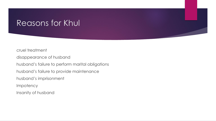#### Reasons for Khul

cruel treatment

disappearance of husband

husband's failure to perform marital obligations

husband's failure to provide maintenance

husband's imprisonment

Impotency

Insanity of husband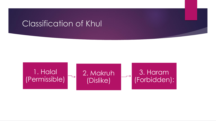#### Classification of Khul

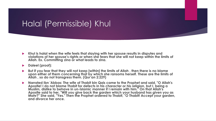#### Halal (Permissible) Khul

- **Khul is halal when the wife feels that staying with her spouse results in disputes and**  violations of her spouse's rights or when she fears that she will not keep within the limits of **Allah. Ex. Committing zina or what leads to zina.**
- **Daleel (proof):**
- **But if you fear that they will not keep [within] the limits of Allah , then there is no blame**  upon either of them concerning that by which she ransoms herself. These are the limits of **Allah , so do not transgress them. (Qur'an 2:229)**
- **Narrated Ibn 'Abbas: The wife of Thabit bin Qais came to the Prophet and said, "O Allah's Apostle! I do not blame Thabit for defects in his character or his religion, but I, being a Muslim, dislike to behave in un-Islamic manner if I remain with him." On that Allah's Apostle said to her, "Will you give back the garden which your husband has given you as Mahr?" She said, "Yes." Then the Prophet ordered to Thabit, "O Thabit! Accept your garden, and divorce her once.**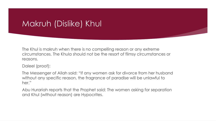#### Makruh (Dislike) Khul

The Khul is makruh when there is no compelling reason or any extreme circumstances. The Khula should not be the resort of flimsy circumstances or reasons.

Daleel (proof):

The Messenger of Allah said: "If any women ask for divorce from her husband without any specific reason, the fragrance of paradise will be unlawful to her."

Abu Hurariah reports that the Prophet said: The women asking for separation and Khul (without reason) are Hypocrites.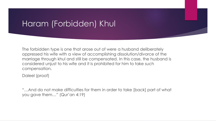#### Haram (Forbidden) Khul

The forbidden type is one that arose out of were a husband deliberately oppressed his wife with a view of accomplishing dissolution/divorce of the marriage through khul and still be compensated. In this case, the husband is considered unjust to his wife and it is prohibited for him to take such compensation.

Daleel (proof)

"…And do not make difficulties for them in order to take [back] part of what you gave them…" (Qur'an 4:19)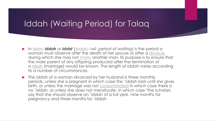#### Iddah (Waiting Period) for Talaq

- In [Islam,](https://en.wikipedia.org/wiki/Islam) *iddah* or *iddat* [\(Arabic:](https://en.wikipedia.org/wiki/Arabic_language) العدة; *period of waiting*) is the period a woman must observe after the death of her spouse or after a [divorce](https://en.wikipedia.org/wiki/Divorce_in_Islam), during which she may not [marry](https://en.wikipedia.org/wiki/Marriage_in_Islam) another man. Its purpose is to ensure that the male parent of any offspring produced after the termination of a [nikah](https://en.wikipedia.org/wiki/Nikah) (marriage) would be known. The length of *iddah* varies according to a number of circumstances.
- ▶ The iddah of a woman divorced by her husband is three monthly periods, unless she is pregnant in which case the 'iddah lasts until she gives birth, or unless the marriage was not **[consummated](https://en.wikipedia.org/wiki/Consummation)** in which case there is no `iddah, or unless she does not menstruate, in which case "the scholars say that she should observe an 'iddah of a full year, nine months for pregnancy and three months for 'iddah.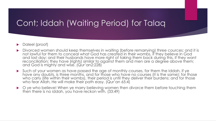#### Cont; Iddah (Waiting Period) for Talaq

#### ▶ Daleel (proof)

- Divorced women should keep themselves in waiting (before remarrying) three cources; and it is not lawful for them to conceal what God has created in their wombs, if they believe in God and last day; and their husbands have more right of taking them back during this, if they want reconciliation; they have (rights) similar to against them and men are a degree above them; and God is mighty and wise. (Qur'an2:228)
- Such of your women as have passed the age of monthly courses, for them the Iddah, if ye have any doubts, is three months, and for those who have no courses (it is the same): for those who carry (life within their wombs), their period is until they deliver their burdens: and for those who fear Allah, He will make their path easy. (Qur'an 65:4)
- ▶ ye who believe! When ye marry believing women then divorce them before touching them then there is no iddah, you have reckon with. (33:49)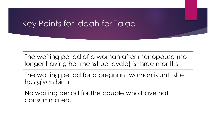#### Key Points for Iddah for Talaq

The waiting period of a woman after menopause (no longer having her menstrual cycle) is three months;

The waiting period for a pregnant woman is until she has given birth.

No waiting period for the couple who have not consummated.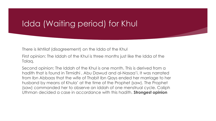#### Idda (Waiting period) for Khul

There is Ikhtilaf (disagreement) on the Idda of the Khul

First opinion: The Iddah of the Khul is three months just like the Idda of the Talaq.

Second opinion: The Iddah of the Khul is one month. This is derived from a hadith that is found in Tirmidhi , Abu Dawud and al-Nasaa'i. It was narrated from Ibn Abbaas that the wife of Thabit Ibn Qays ended her marriage to her husband by means of Khula' at the time of the Prophet (saw). The Prophet (saw) commanded her to observe an iddah of one menstrual cycle. Caliph Uthman decided a case in accordance with this hadith. **Strongest opinion**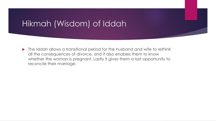#### Hikmah (Wisdom) of Iddah

 $\blacktriangleright$  The Iddah allows a transitional period for the husband and wife to rethink all the consequences of divorce, and it also enables them to know whether the woman is pregnant. Lastly it gives them a last opportunity to reconcile their marriage.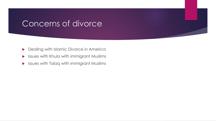#### Concerns of divorce

- **Dealing with Islamic Divorce in Americally**
- Issues with Khula with immigrant Muslims
- Issues with Talaq with immigrant Muslims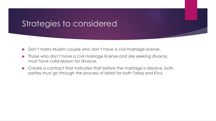#### Strategies to considered

- ▶ Don't marry Muslim couple who don't have a civil marriage license.
- **Those who don't have a civil marriage license and are seeking divorce,** must have valid reason for divorce.
- ▶ Create a contract that indicates that before the marriage is dissolve, both parties must go through the process of Iddat for both Talaq and Khul.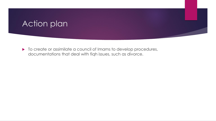#### Action plan

 $\blacktriangleright$  To create or assimilate a council of Imams to develop procedures, documentations that deal with fiqh issues, such as divorce.